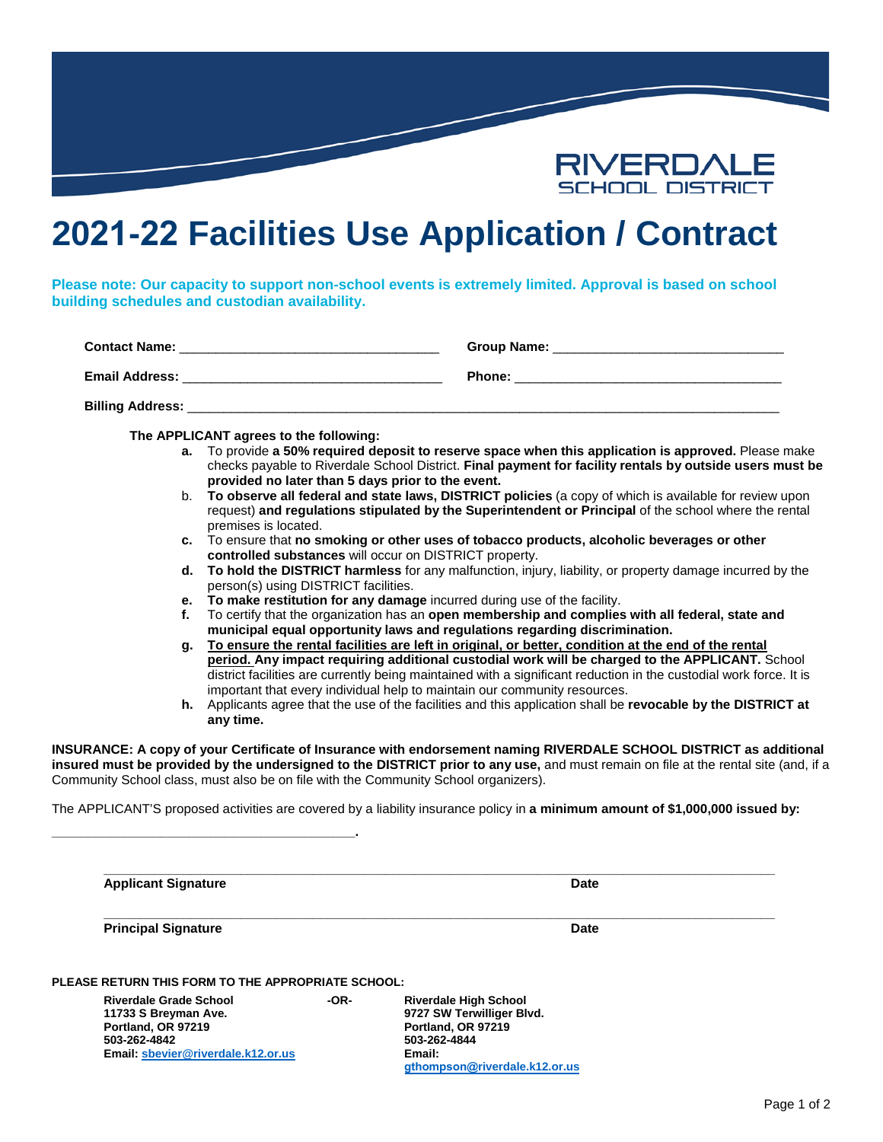

# **2021-22 Facilities Use Application / Contract**

**Please note: Our capacity to support non-school events is extremely limited. Approval is based on school building schedules and custodian availability.**

| <b>Contact Name:</b>    | Group Name:   |
|-------------------------|---------------|
| <b>Email Address:</b>   | <b>Phone:</b> |
| <b>Billing Address:</b> |               |

**The APPLICANT agrees to the following:**

**\_\_\_\_\_\_\_\_\_\_\_\_\_\_\_\_\_\_\_\_\_\_\_\_\_\_\_\_\_\_\_\_\_\_\_\_\_\_\_\_\_\_.**

- **a.** To provide **a 50% required deposit to reserve space when this application is approved.** Please make checks payable to Riverdale School District. **Final payment for facility rentals by outside users must be provided no later than 5 days prior to the event.**
- b. **To observe all federal and state laws, DISTRICT policies** (a copy of which is available for review upon request) **and regulations stipulated by the Superintendent or Principal** of the school where the rental premises is located.
- **c.** To ensure that **no smoking or other uses of tobacco products, alcoholic beverages or other controlled substances** will occur on DISTRICT property.
- **d. To hold the DISTRICT harmless** for any malfunction, injury, liability, or property damage incurred by the person(s) using DISTRICT facilities.
- **e. To make restitution for any damage** incurred during use of the facility.
- **f.** To certify that the organization has an **open membership and complies with all federal, state and municipal equal opportunity laws and regulations regarding discrimination.**
- **g. To ensure the rental facilities are left in original, or better, condition at the end of the rental period. Any impact requiring additional custodial work will be charged to the APPLICANT.** School district facilities are currently being maintained with a significant reduction in the custodial work force. It is important that every individual help to maintain our community resources.
- **h.** Applicants agree that the use of the facilities and this application shall be **revocable by the DISTRICT at any time.**

**INSURANCE: A copy of your Certificate of Insurance with endorsement naming RIVERDALE SCHOOL DISTRICT as additional insured must be provided by the undersigned to the DISTRICT prior to any use,** and must remain on file at the rental site (and, if a Community School class, must also be on file with the Community School organizers).

The APPLICANT'S proposed activities are covered by a liability insurance policy in **a minimum amount of \$1,000,000 issued by:**

| <b>Applicant Signature</b>                         |      | Date                                                      |
|----------------------------------------------------|------|-----------------------------------------------------------|
| <b>Principal Signature</b>                         |      | Date                                                      |
| PLEASE RETURN THIS FORM TO THE APPROPRIATE SCHOOL: |      |                                                           |
| <b>Riverdale Grade School</b>                      | -OR- | <b>Riverdale High School</b><br>9727 SW Terwilliger Blvd. |